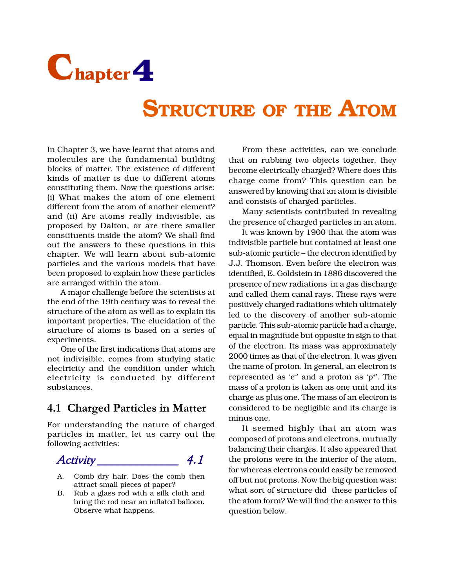# **4 Chapter**

# STRUCTURE OF THE ATOM

In Chapter 3, we have learnt that atoms and molecules are the fundamental building blocks of matter. The existence of different kinds of matter is due to different atoms constituting them. Now the questions arise: (i) What makes the atom of one element different from the atom of another element? and (ii) Are atoms really indivisible, as proposed by Dalton, or are there smaller constituents inside the atom? We shall find out the answers to these questions in this chapter. We will learn about sub-atomic particles and the various models that have been proposed to explain how these particles are arranged within the atom.

A major challenge before the scientists at the end of the 19th century was to reveal the structure of the atom as well as to explain its important properties. The elucidation of the structure of atoms is based on a series of experiments.

One of the first indications that atoms are not indivisible, comes from studying static electricity and the condition under which electricity is conducted by different substances.

#### **4.1 Charged Particles in Matter**

For understanding the nature of charged particles in matter, let us carry out the following activities:

## Activity \_\_\_\_\_\_\_\_\_\_\_\_\_ 4.1

- A. Comb dry hair. Does the comb then attract small pieces of paper?
- B. Rub a glass rod with a silk cloth and bring the rod near an inflated balloon. Observe what happens.

From these activities, can we conclude that on rubbing two objects together, they become electrically charged? Where does this charge come from? This question can be answered by knowing that an atom is divisible and consists of charged particles.

Many scientists contributed in revealing the presence of charged particles in an atom.

It was known by 1900 that the atom was indivisible particle but contained at least one sub-atomic particle – the electron identified by J.J. Thomson. Even before the electron was identified, E. Goldstein in 1886 discovered the presence of new radiations in a gas discharge and called them canal rays. These rays were positively charged radiations which ultimately led to the discovery of another sub-atomic particle. This sub-atomic particle had a charge, equal in magnitude but opposite in sign to that of the electron. Its mass was approximately 2000 times as that of the electron. It was given the name of proton. In general, an electron is represented as 'e-' and a proton as 'p+'. The mass of a proton is taken as one unit and its charge as plus one. The mass of an electron is considered to be negligible and its charge is minus one.

It seemed highly that an atom was composed of protons and electrons, mutually balancing their charges. It also appeared that the protons were in the interior of the atom, for whereas electrons could easily be removed off but not protons. Now the big question was: what sort of structure did these particles of the atom form? We will find the answer to this question below.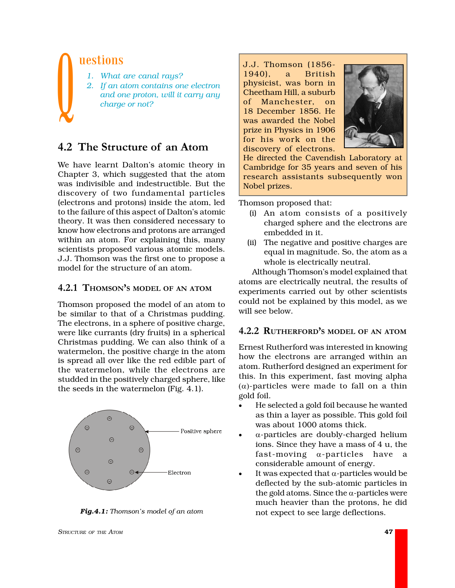#### uestions

- *1. What are canal rays?*
- *2. If an atom contains one electron and one proton, will it carry any charge or not?* **V**

#### **4.2 The Structure of an Atom**

We have learnt Dalton's atomic theory in Chapter 3, which suggested that the atom was indivisible and indestructible. But the discovery of two fundamental particles (electrons and protons) inside the atom, led to the failure of this aspect of Dalton's atomic theory. It was then considered necessary to know how electrons and protons are arranged within an atom. For explaining this, many scientists proposed various atomic models. J.J. Thomson was the first one to propose a model for the structure of an atom.

#### **4.2.1 THOMSON'<sup>S</sup> MODEL OF AN ATOM**

Thomson proposed the model of an atom to be similar to that of a Christmas pudding. The electrons, in a sphere of positive charge, were like currants (dry fruits) in a spherical Christmas pudding. We can also think of a watermelon, the positive charge in the atom is spread all over like the red edible part of the watermelon, while the electrons are studded in the positively charged sphere, like the seeds in the watermelon (Fig. 4.1).



*Fig.4.1: Thomson's model of an atom*

J.J. Thomson (1856- 1940), a British physicist, was born in Cheetham Hill, a suburb of Manchester, on 18 December 1856. He was awarded the Nobel prize in Physics in 1906 for his work on the discovery of electrons.



He directed the Cavendish Laboratory at Cambridge for 35 years and seven of his research assistants subsequently won Nobel prizes.

Thomson proposed that:

- (i) An atom consists of a positively charged sphere and the electrons are embedded in it.
- (ii) The negative and positive charges are equal in magnitude. So, the atom as a whole is electrically neutral.

Although Thomson's model explained that atoms are electrically neutral, the results of experiments carried out by other scientists could not be explained by this model, as we will see below.

#### **4.2.2 RUTHERFORD'<sup>S</sup> MODEL OF AN ATOM**

Ernest Rutherford was interested in knowing how the electrons are arranged within an atom. Rutherford designed an experiment for this. In this experiment, fast moving alpha  $(\alpha)$ -particles were made to fall on a thin gold foil.

- He selected a gold foil because he wanted as thin a layer as possible. This gold foil was about 1000 atoms thick.
- $\alpha$ -particles are doubly-charged helium ions. Since they have a mass of 4 u, the fast-moving  $\alpha$ -particles have a considerable amount of energy.
- $\bullet$  It was expected that  $\alpha$ -particles would be deflected by the sub-atomic particles in the gold atoms. Since the  $\alpha$ -particles were much heavier than the protons, he did not expect to see large deflections.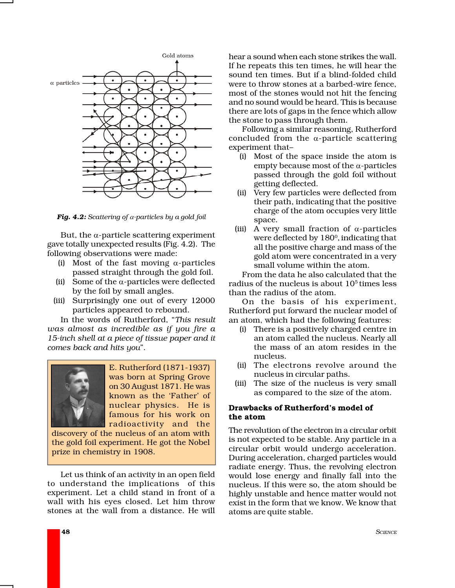

*Fig. 4.2: Scattering of -particles by a gold foil*

But, the  $\alpha$ -particle scattering experiment gave totally unexpected results (Fig. 4.2). The following observations were made:

- (i) Most of the fast moving  $\alpha$ -particles passed straight through the gold foil.
- (ii) Some of the  $\alpha$ -particles were deflected by the foil by small angles.
- (iii) Surprisingly one out of every 12000 particles appeared to rebound.

In the words of Rutherford, "*This result was almost as incredible as if you fire a 15-inch shell at a piece of tissue paper and it comes back and hits you*".



E. Rutherford (1871-1937) was born at Spring Grove on 30 August 1871. He was known as the 'Father' of nuclear physics. He is famous for his work on radioactivity and the

discovery of the nucleus of an atom with the gold foil experiment. He got the Nobel prize in chemistry in 1908.

Let us think of an activity in an open field to understand the implications of this experiment. Let a child stand in front of a wall with his eyes closed. Let him throw stones at the wall from a distance. He will

hear a sound when each stone strikes the wall. If he repeats this ten times, he will hear the sound ten times. But if a blind-folded child were to throw stones at a barbed-wire fence, most of the stones would not hit the fencing and no sound would be heard. This is because there are lots of gaps in the fence which allow the stone to pass through them.

Following a similar reasoning, Rutherford concluded from the  $\alpha$ -particle scattering experiment that–

- (i) Most of the space inside the atom is empty because most of the  $\alpha$ -particles passed through the gold foil without getting deflected.
- (ii) Very few particles were deflected from their path, indicating that the positive charge of the atom occupies very little space.
- (iii) A very small fraction of  $\alpha$ -particles were deflected by  $180^{\rm o}$ , indicating that all the positive charge and mass of the gold atom were concentrated in a very small volume within the atom.

From the data he also calculated that the radius of the nucleus is about  $10<sup>5</sup>$  times less than the radius of the atom.

On the basis of his experiment, Rutherford put forward the nuclear model of an atom, which had the following features:

- (i) There is a positively charged centre in an atom called the nucleus. Nearly all the mass of an atom resides in the nucleus.
- (ii) The electrons revolve around the nucleus in circular paths.
- (iii) The size of the nucleus is very small as compared to the size of the atom.

#### Drawbacks of Rutherford's model of the atom

The revolution of the electron in a circular orbit is not expected to be stable. Any particle in a circular orbit would undergo acceleration. During acceleration, charged particles would radiate energy. Thus, the revolving electron would lose energy and finally fall into the nucleus. If this were so, the atom should be highly unstable and hence matter would not exist in the form that we know. We know that atoms are quite stable.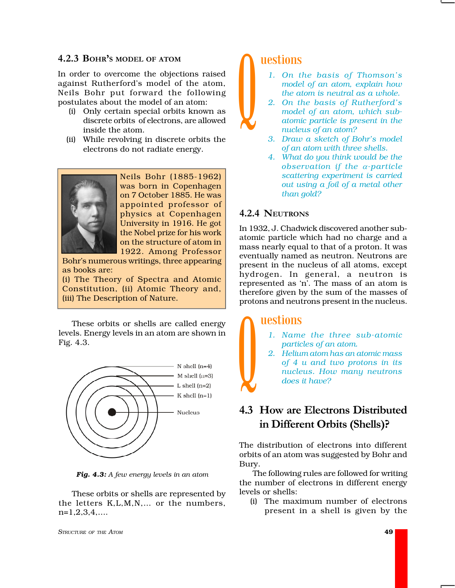#### **4.2.3 BOHR'<sup>S</sup> MODEL OF ATOM**

In order to overcome the objections raised against Rutherford's model of the atom, Neils Bohr put forward the following postulates about the model of an atom:

- (i) Only certain special orbits known as discrete orbits of electrons, are allowed inside the atom.
- (ii) While revolving in discrete orbits the electrons do not radiate energy.



Neils Bohr (1885-1962) was born in Copenhagen on 7 October 1885. He was appointed professor of physics at Copenhagen University in 1916. He got the Nobel prize for his work on the structure of atom in 1922. Among Professor

Bohr's numerous writings, three appearing as books are:

(i) The Theory of Spectra and Atomic Constitution, (ii) Atomic Theory and, (iii) The Description of Nature.

These orbits or shells are called energy levels. Energy levels in an atom are shown in Fig. 4.3.



*Fig. 4.3: A few energy levels in an atom*

These orbits or shells are represented by the letters K,L,M,N,… or the numbers, n=1,2,3,4,….

#### uestions

- *1. On the basis of Thomson's model of an atom, explain how the atom is neutral as a whole.*
- *2. On the basis of Rutherford's model of an atom, which subatomic particle is present in the nucleus of an atom?*  $\int_{\mathbb{R}^2}$ 
	- *3. Draw a sketch of Bohr's model of an atom with three shells.*
	- *4. What do you think would be the cobservation if the α-particle scattering experiment is carried out using a foil of a metal other than gold?*

#### **4.2.4 NEUTRONS**

In 1932, J. Chadwick discovered another subatomic particle which had no charge and a mass nearly equal to that of a proton. It was eventually named as neutron. Neutrons are present in the nucleus of all atoms, except hydrogen. In general, a neutron is represented as 'n'. The mass of an atom is therefore given by the sum of the masses of protons and neutrons present in the nucleus.

#### uestions

Q

- *1. Name the three sub-atomic particles of an atom.*
- *2. Helium atom has an atomic mass of 4 u and two protons in its nucleus. How many neutrons does it have?*

# **4.3 How are Electrons Distributed in Different Orbits (Shells)?**

The distribution of electrons into different orbits of an atom was suggested by Bohr and Bury.

The following rules are followed for writing the number of electrons in different energy levels or shells:

(i) The maximum number of electrons present in a shell is given by the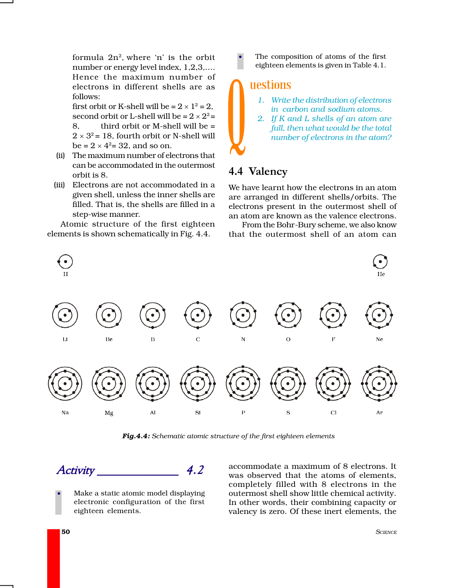formula 2n<sup>2</sup>, where 'n' is the orbit number or energy level index, 1,2,3,…. Hence the maximum number of electrons in different shells are as follows:

first orbit or K-shell will be =  $2 \times 1^2 = 2$ , second orbit or L-shell will be  $= 2 \times 2^2 =$ 8, third orbit or M-shell will be =  $2 \times 3^2$  = 18, fourth orbit or N-shell will be =  $2 \times 4^2$  = 32, and so on.

- (ii) The maximum number of electrons that can be accommodated in the outermost orbit is 8.
- (iii) Electrons are not accommodated in a given shell, unless the inner shells are filled. That is, the shells are filled in a step-wise manner.

Atomic structure of the first eighteen elements is shown schematically in Fig. 4.4.

 The composition of atoms of the first eighteen elements is given in Table 4.1.

#### uestions

- *1. Write the distribution of electrons in carbon and sodium atoms.*
- *2. If K and L shells of an atom are full, then what would be the total number of electrons in the atom?*  $\int_{0}^{2}$

#### **4.4 Valency**

We have learnt how the electrons in an atom are arranged in different shells/orbits. The electrons present in the outermost shell of an atom are known as the valence electrons.

From the Bohr-Bury scheme, we also know that the outermost shell of an atom can



*Fig.4.4: Schematic atomic structure of the first eighteen elements*

 $Activity$  4.2

 Make a static atomic model displaying electronic configuration of the first eighteen elements.

accommodate a maximum of 8 electrons. It was observed that the atoms of elements, completely filled with 8 electrons in the outermost shell show little chemical activity. In other words, their combining capacity or valency is zero. Of these inert elements, the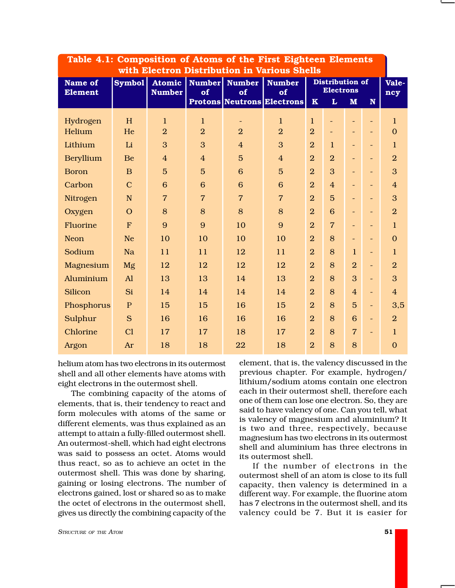| Table 4.1: Composition of Atoms of the First Eighteen Elements<br>with Electron Distribution in Various Shells |                |                |                |                                |                                   |                                     |                   |                          |                          |                |  |
|----------------------------------------------------------------------------------------------------------------|----------------|----------------|----------------|--------------------------------|-----------------------------------|-------------------------------------|-------------------|--------------------------|--------------------------|----------------|--|
| Name of<br><b>Element</b>                                                                                      | Symbol         | <b>Number</b>  | of             | Atomic   Number   Number<br>of | Number<br>of                      | Distribution of<br><b>Electrons</b> |                   |                          | Vale-<br>ncy             |                |  |
|                                                                                                                |                |                |                |                                | <b>Protons Neutrons Electrons</b> | $\mathbf K$                         | L                 | M                        | $\mathbf N$              |                |  |
| Hydrogen                                                                                                       | H              | $\mathbf{1}$   | $\mathbf{1}$   |                                | $\mathbf{1}$                      | $\mathbf{1}$                        |                   |                          |                          | $\mathbf{1}$   |  |
| Helium                                                                                                         | He             | $\overline{2}$ | $\overline{2}$ | $\overline{2}$                 | $\overline{2}$                    | $\overline{2}$                      | $\qquad \qquad -$ | $\overline{\phantom{a}}$ | $\overline{\phantom{a}}$ | $\mathbf{0}$   |  |
| Lithium                                                                                                        | Li             | 3              | 3              | $\overline{4}$                 | 3                                 | $\overline{2}$                      | $\mathbf{1}$      | $\overline{\phantom{a}}$ |                          | $\mathbf{1}$   |  |
| Beryllium                                                                                                      | Be             | $\overline{4}$ | $\overline{4}$ | $\overline{5}$                 | $\overline{4}$                    | $\overline{2}$                      | $\overline{2}$    | $\overline{\phantom{a}}$ |                          | $\overline{2}$ |  |
| <b>Boron</b>                                                                                                   | B              | 5              | 5              | 6                              | 5                                 | $\overline{2}$                      | 3                 | $\overline{\phantom{a}}$ | $\overline{\phantom{a}}$ | 3              |  |
| Carbon                                                                                                         | $\overline{C}$ | 6              | 6              | 6                              | 6                                 | $\overline{2}$                      | $\overline{4}$    | $\overline{\phantom{a}}$ | $\overline{\phantom{a}}$ | $\overline{4}$ |  |
| Nitrogen                                                                                                       | N              | $\overline{7}$ | $\overline{7}$ | $\overline{7}$                 | $\overline{7}$                    | $\overline{2}$                      | $\overline{5}$    | $\overline{\phantom{a}}$ |                          | 3              |  |
| Oxygen                                                                                                         | $\overline{O}$ | 8              | 8              | 8                              | 8                                 | $\overline{2}$                      | 6                 | $\overline{\phantom{a}}$ | $\overline{\phantom{a}}$ | $\overline{2}$ |  |
| Fluorine                                                                                                       | F              | 9              | 9              | 10                             | 9                                 | $\overline{2}$                      | $\overline{7}$    | $\overline{\phantom{a}}$ | $\qquad \qquad -$        | $\mathbf{1}$   |  |
| <b>Neon</b>                                                                                                    | <b>Ne</b>      | 10             | 10             | 10                             | 10                                | $\overline{2}$                      | 8                 | $\overline{\phantom{a}}$ | $\overline{\phantom{a}}$ | $\overline{0}$ |  |
| Sodium                                                                                                         | <b>Na</b>      | 11             | 11             | 12                             | 11                                | $\overline{2}$                      | 8                 | $\mathbf{1}$             | $\overline{\phantom{a}}$ | $\mathbf{1}$   |  |
| Magnesium                                                                                                      | Mg             | 12             | 12             | 12                             | 12                                | $\overline{2}$                      | 8                 | $\overline{2}$           | $\overline{\phantom{a}}$ | $\overline{2}$ |  |
| Aluminium                                                                                                      | $\mathbf{A}$   | 13             | 13             | 14                             | 13                                | $\overline{2}$                      | 8                 | 3                        | $\overline{\phantom{a}}$ | 3              |  |
| Silicon                                                                                                        | <b>Si</b>      | 14             | 14             | 14                             | 14                                | $\overline{2}$                      | 8                 | $\overline{4}$           | $\equiv$                 | $\overline{4}$ |  |
| Phosphorus                                                                                                     | $\mathbf{P}$   | 15             | 15             | 16                             | 15                                | $\overline{2}$                      | 8                 | $\overline{5}$           | $\overline{\phantom{a}}$ | 3,5            |  |
| Sulphur                                                                                                        | S              | 16             | 16             | 16                             | 16                                | $\overline{2}$                      | 8                 | 6                        | $\equiv$                 | $\overline{2}$ |  |
| Chlorine                                                                                                       | C1             | 17             | 17             | 18                             | 17                                | $\overline{2}$                      | 8                 | $\overline{7}$           | $\overline{\phantom{a}}$ | $\mathbf{1}$   |  |
| Argon                                                                                                          | Ar             | 18             | 18             | 22                             | 18                                | $\overline{2}$                      | 8                 | 8                        |                          | $\overline{0}$ |  |

helium atom has two electrons in its outermost shell and all other elements have atoms with eight electrons in the outermost shell.

The combining capacity of the atoms of elements, that is, their tendency to react and form molecules with atoms of the same or different elements, was thus explained as an attempt to attain a fully-filled outermost shell. An outermost-shell, which had eight electrons was said to possess an octet. Atoms would thus react, so as to achieve an octet in the outermost shell. This was done by sharing, gaining or losing electrons. The number of electrons gained, lost or shared so as to make the octet of electrons in the outermost shell, gives us directly the combining capacity of the element, that is, the valency discussed in the previous chapter. For example, hydrogen/ lithium/sodium atoms contain one electron each in their outermost shell, therefore each one of them can lose one electron. So, they are said to have valency of one. Can you tell, what is valency of magnesium and aluminium? It is two and three, respectively, because magnesium has two electrons in its outermost shell and aluminium has three electrons in its outermost shell.

If the number of electrons in the outermost shell of an atom is close to its full capacity, then valency is determined in a different way. For example, the fluorine atom has 7 electrons in the outermost shell, and its valency could be 7. But it is easier for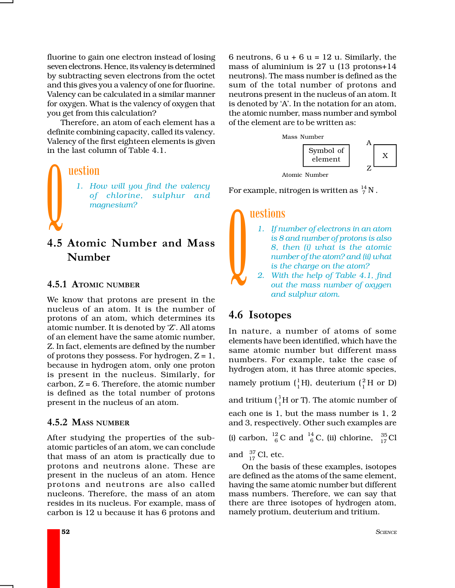fluorine to gain one electron instead of losing seven electrons. Hence, its valency is determined by subtracting seven electrons from the octet and this gives you a valency of one for fluorine. Valency can be calculated in a similar manner for oxygen. What is the valency of oxygen that you get from this calculation?

Therefore, an atom of each element has a definite combining capacity, called its valency. Valency of the first eighteen elements is given in the last column of Table 4.1.



*1. How will you find the valency of chlorine, sulphur and magnesium?* **V** 

# **4.5 Atomic Number and Mass Number**

#### **4.5.1 ATOMIC NUMBER**

We know that protons are present in the nucleus of an atom. It is the number of protons of an atom, which determines its atomic number. It is denoted by 'Z'. All atoms of an element have the same atomic number, Z. In fact, elements are defined by the number of protons they possess. For hydrogen,  $Z = 1$ , because in hydrogen atom, only one proton is present in the nucleus. Similarly, for carbon,  $Z = 6$ . Therefore, the atomic number is defined as the total number of protons present in the nucleus of an atom.

#### **4.5.2 MASS NUMBER**

After studying the properties of the subatomic particles of an atom, we can conclude that mass of an atom is practically due to protons and neutrons alone. These are present in the nucleus of an atom. Hence protons and neutrons are also called nucleons. Therefore, the mass of an atom resides in its nucleus. For example, mass of carbon is 12 u because it has 6 protons and

6 neutrons,  $6 u + 6 u = 12 u$ . Similarly, the mass of aluminium is 27 u (13 protons+14 neutrons). The mass number is defined as the sum of the total number of protons and neutrons present in the nucleus of an atom. It is denoted by 'A'. In the notation for an atom, the atomic number, mass number and symbol of the element are to be written as:



For example, nitrogen is written as  $^{14}_{7}\rm N$  .

#### uestions

- *1. If number of electrons in an atom is 8 and number of protons is also 8, then (i) what is the atomic number of the atom? and (ii) what is the charge on the atom?*  $\bigcup$ <sub>2.</sub>
	- *2. With the help of Table 4.1, find out the mass number of oxygen and sulphur atom.*

## **4.6 Isotopes**

In nature, a number of atoms of some elements have been identified, which have the same atomic number but different mass numbers. For example, take the case of hydrogen atom, it has three atomic species, namely protium ( ${}^{1}_{1}$ H), deuterium ( ${}^{2}_{1}$ H or D)

and tritium ( $^{3}_{1}$ H or T). The atomic number of

each one is 1, but the mass number is 1, 2 and 3, respectively. Other such examples are

(i) carbon,  $^{12}_{6}$ C and  $^{14}_{6}$ C, (ii) chlorine,  $^{35}_{17}$ Cl

and  $^{37}_{17}$  Cl, etc.

On the basis of these examples, isotopes are defined as the atoms of the same element, having the same atomic number but different mass numbers. Therefore, we can say that there are three isotopes of hydrogen atom, namely protium, deuterium and tritium.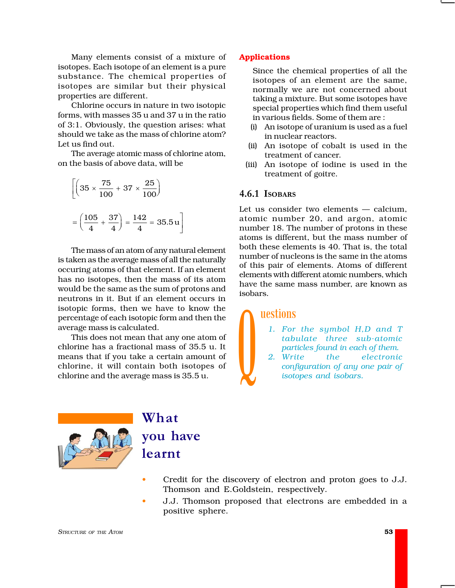Many elements consist of a mixture of isotopes. Each isotope of an element is a pure substance. The chemical properties of isotopes are similar but their physical properties are different.

Chlorine occurs in nature in two isotopic forms, with masses 35 u and 37 u in the ratio of 3:1. Obviously, the question arises: what should we take as the mass of chlorine atom? Let us find out.

The average atomic mass of chlorine atom, on the basis of above data, will be

$$
\left[ \left( 35 \times \frac{75}{100} + 37 \times \frac{25}{100} \right) \right]
$$

$$
= \left( \frac{105}{4} + \frac{37}{4} \right) = \frac{142}{4} = 35.5 \text{ u}
$$

The mass of an atom of any natural element is taken as the average mass of all the naturally occuring atoms of that element. If an element has no isotopes, then the mass of its atom would be the same as the sum of protons and neutrons in it. But if an element occurs in isotopic forms, then we have to know the percentage of each isotopic form and then the average mass is calculated.

This does not mean that any one atom of chlorine has a fractional mass of 35.5 u. It means that if you take a certain amount of chlorine, it will contain both isotopes of chlorine and the average mass is 35.5 u.

#### Applications

Since the chemical properties of all the isotopes of an element are the same, normally we are not concerned about taking a mixture. But some isotopes have special properties which find them useful in various fields. Some of them are :

- (i) An isotope of uranium is used as a fuel in nuclear reactors.
- (ii) An isotope of cobalt is used in the treatment of cancer.
- (iii) An isotope of iodine is used in the treatment of goitre.

#### **4.6.1 ISOBARS**

Let us consider two elements — calcium, atomic number 20, and argon, atomic number 18. The number of protons in these atoms is different, but the mass number of both these elements is 40. That is, the total number of nucleons is the same in the atoms of this pair of elements. Atoms of different elements with different atomic numbers, which have the same mass number, are known as isobars.

#### uestions

- *1. For the symbol H,D and T tabulate three sub-atomic particles found in each of them.*
- $\int_{\mathbb{R}^2}$ *zhe electronic configuration of any one pair of isotopes and isobars.*



# **What**

# **you have**

**learnt**

- Credit for the discovery of electron and proton goes to J.J. Thomson and E.Goldstein, respectively.
- J.J. Thomson proposed that electrons are embedded in a positive sphere.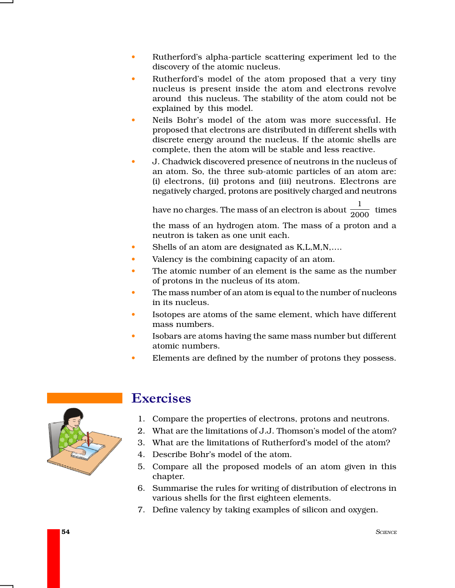- Rutherford's alpha-particle scattering experiment led to the discovery of the atomic nucleus.
- Rutherford's model of the atom proposed that a very tiny nucleus is present inside the atom and electrons revolve around this nucleus. The stability of the atom could not be explained by this model.
- Neils Bohr's model of the atom was more successful. He proposed that electrons are distributed in different shells with discrete energy around the nucleus. If the atomic shells are complete, then the atom will be stable and less reactive.
- J. Chadwick discovered presence of neutrons in the nucleus of an atom. So, the three sub-atomic particles of an atom are: (i) electrons, (ii) protons and (iii) neutrons. Electrons are negatively charged, protons are positively charged and neutrons

have no charges. The mass of an electron is about  $\frac{1}{2000}\,$  times the mass of an hydrogen atom. The mass of a proton and a neutron is taken as one unit each.

- Shells of an atom are designated as K,L,M,N,….
- Valency is the combining capacity of an atom.
- The atomic number of an element is the same as the number of protons in the nucleus of its atom.
- The mass number of an atom is equal to the number of nucleons in its nucleus.
- Isotopes are atoms of the same element, which have different mass numbers.
- Isobars are atoms having the same mass number but different atomic numbers.
- Elements are defined by the number of protons they possess.



# **Exercises**

- 1. Compare the properties of electrons, protons and neutrons.
- 2. What are the limitations of J.J. Thomson's model of the atom?
- 3. What are the limitations of Rutherford's model of the atom?
- 4. Describe Bohr's model of the atom.
- 5. Compare all the proposed models of an atom given in this chapter.
- 6. Summarise the rules for writing of distribution of electrons in various shells for the first eighteen elements.
- 7. Define valency by taking examples of silicon and oxygen.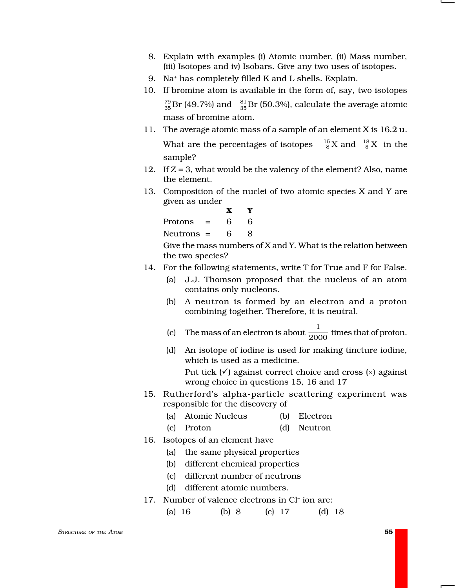- 8. Explain with examples (i) Atomic number, (ii) Mass number, (iii) Isotopes and iv) Isobars. Give any two uses of isotopes.
- 9. Na<sup>+</sup> has completely filled K and L shells. Explain.
- 10. If bromine atom is available in the form of, say, two isotopes  $^{79}_{35}\rm{Br}$  (49.7%) and  $^{+81}_{-35}\rm{Br}$  (50.3%), calculate the average atomic mass of bromine atom.
- 11. The average atomic mass of a sample of an element X is 16.2 u. What are the percentages of isotopes  ${}^{6}_{8}X$  and  ${}^{18}_{8}X$  in the sample?
- 12. If Z = 3, what would be the valency of the element? Also, name the element.
- 13. Composition of the nuclei of two atomic species X and Y are given as under

X Y Protons  $= 6 6$ Neutrons  $= 6 8$ 

Give the mass numbers of X and Y. What is the relation between the two species?

- 14. For the following statements, write T for True and F for False.
	- (a) J.J. Thomson proposed that the nucleus of an atom contains only nucleons.
	- (b) A neutron is formed by an electron and a proton combining together. Therefore, it is neutral.
	- (c) The mass of an electron is about  $\frac{1}{2000}$  times that of proton.
	- (d) An isotope of iodine is used for making tincture iodine, which is used as a medicine.

Put tick  $(\checkmark)$  against correct choice and cross  $(x)$  against wrong choice in questions 15, 16 and 17

- 15. Rutherford's alpha-particle scattering experiment was responsible for the discovery of
	- (a) Atomic Nucleus (b) Electron
	- (c) Proton (d) Neutron
- 16. Isotopes of an element have
	- (a) the same physical properties
	- (b) different chemical properties
	- (c) different number of neutrons
	- (d) different atomic numbers.
- 17. Number of valence electrons in Cl– ion are:
	- (a) 16 (b) 8 (c) 17 (d) 18